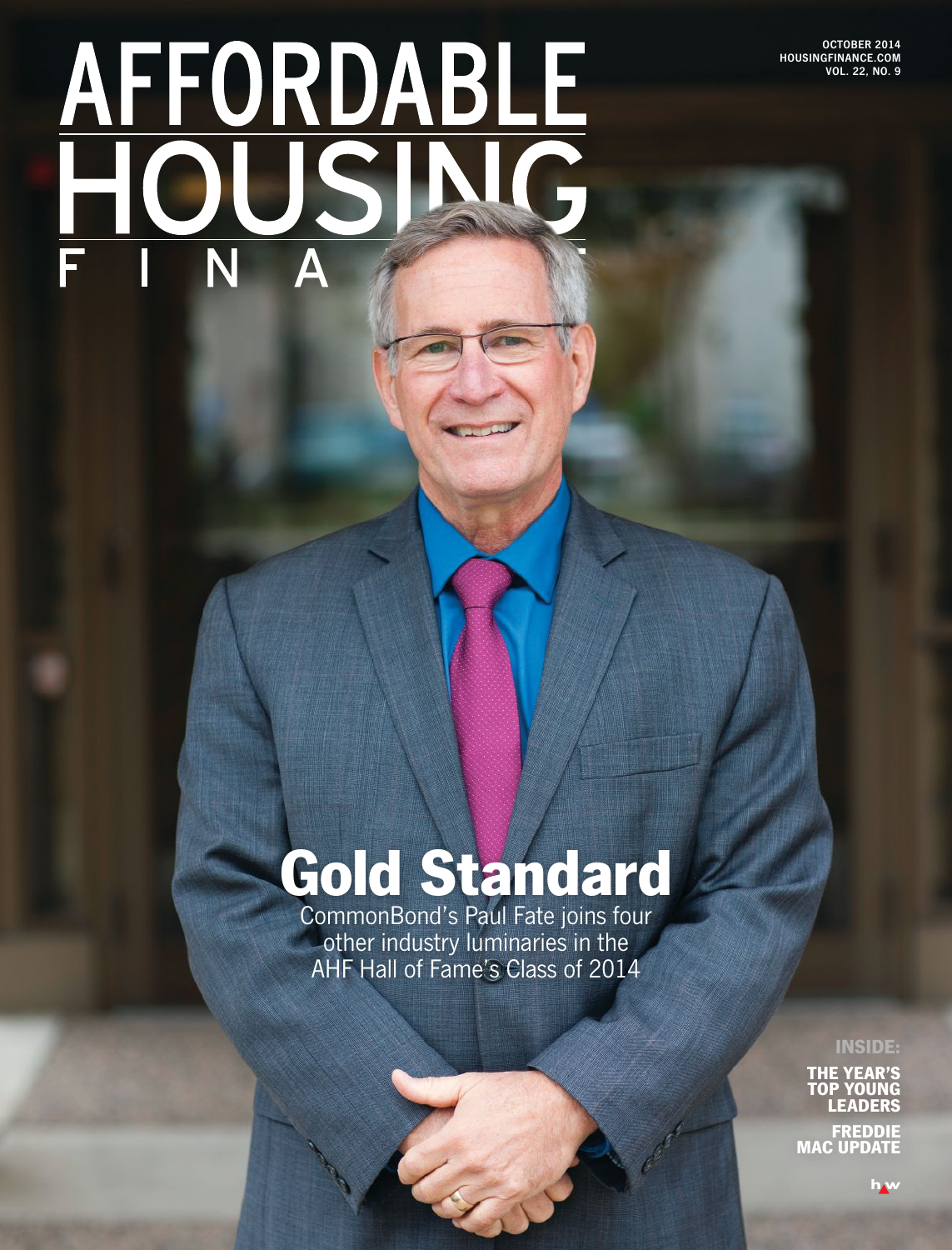**OCTOBER 2014 HOUSINGFINANCE.COM VOL. 22, NO. 9**

# **AFFORDABLE**<br>HOUSING N  $\overline{\Delta}$

## Gold Standard

CommonBond's Paul Fate joins four other industry luminaries in the AHF Hall of Fame's Class of 2014

INSIDE:

THE YEAR'S TOP YOUNG LEADERS

FREDDIE MAC UPDATE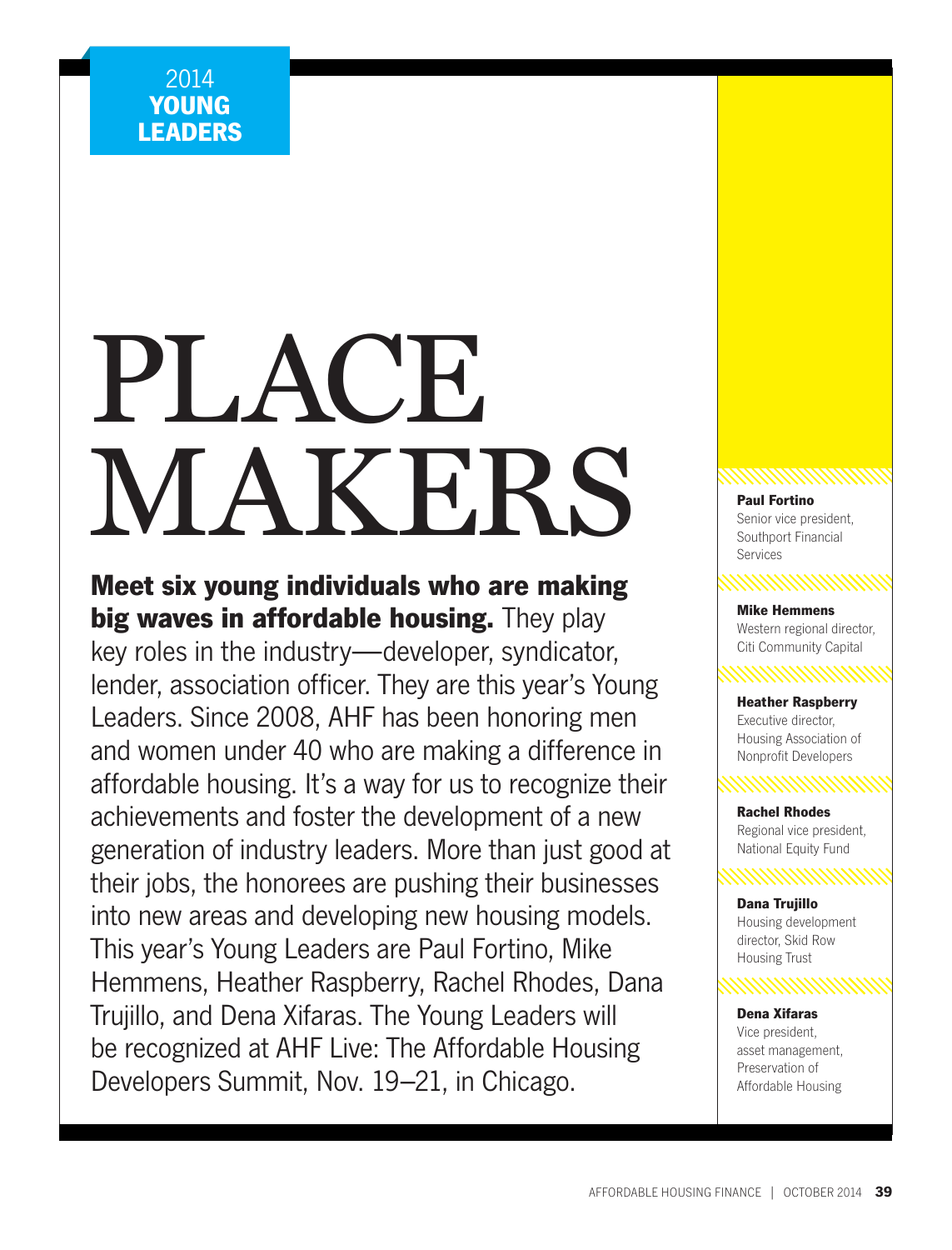# PLACE. MAKERS RESERVE

Meet six young individuals who are making big waves in affordable housing. They play key roles in the industry—developer, syndicator, lender, association officer. They are this year's Young Leaders. Since 2008, AHF has been honoring men and women under 40 who are making a difference in affordable housing. It's a way for us to recognize their achievements and foster the development of a new generation of industry leaders. More than just good at their jobs, the honorees are pushing their businesses into new areas and developing new housing models. This year's Young Leaders are Paul Fortino, Mike Hemmens, Heather Raspberry, Rachel Rhodes, Dana Trujillo, and Dena Xifaras. The Young Leaders will be recognized at AHF Live: The Affordable Housing Developers Summit, Nov. 19–21, in Chicago.

Senior vice president, Southport Financial Services

Mike Hemmens Western regional director, Citi Community Capital

Heather Raspberry Executive director, Housing Association of Nonprofit Developers

Rachel Rhodes Regional vice president, National Equity Fund

Dana Trujillo

Housing development director, Skid Row **Housing Trust** 

Dena Xifaras Vice president, asset management, Preservation of Affordable Housing